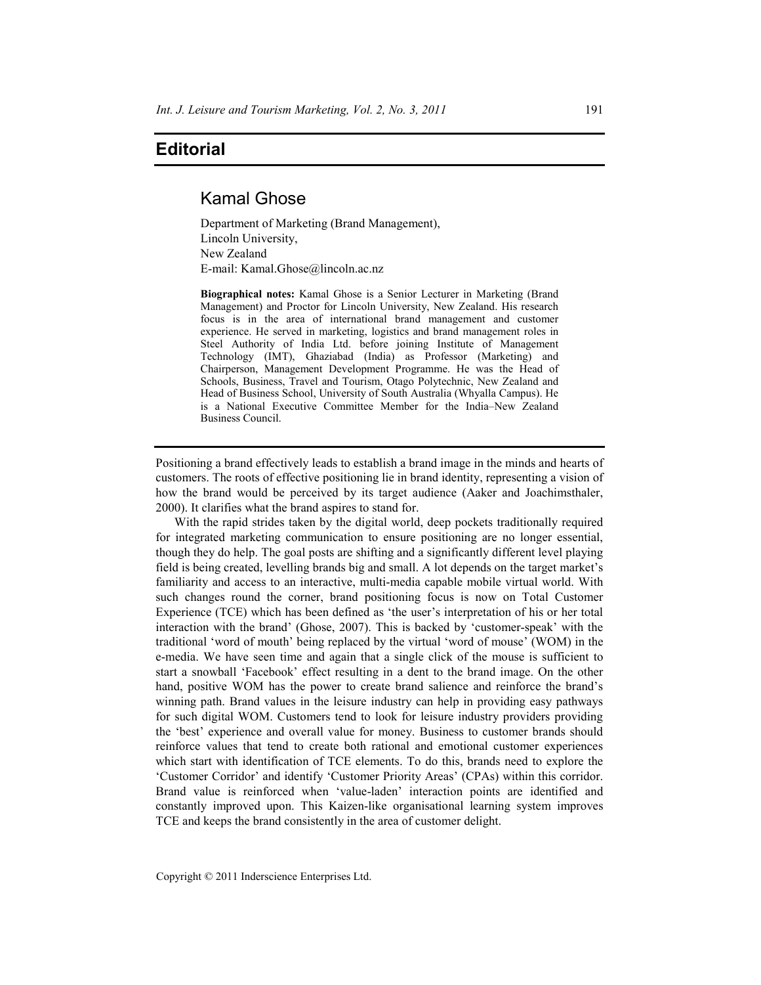## **Editorial**

# Kamal Ghose

Department of Marketing (Brand Management), Lincoln University, New Zealand E-mail: Kamal.Ghose@lincoln.ac.nz

**Biographical notes:** Kamal Ghose is a Senior Lecturer in Marketing (Brand Management) and Proctor for Lincoln University, New Zealand. His research focus is in the area of international brand management and customer experience. He served in marketing, logistics and brand management roles in Steel Authority of India Ltd. before joining Institute of Management Technology (IMT), Ghaziabad (India) as Professor (Marketing) and Chairperson, Management Development Programme. He was the Head of Schools, Business, Travel and Tourism, Otago Polytechnic, New Zealand and Head of Business School, University of South Australia (Whyalla Campus). He is a National Executive Committee Member for the India–New Zealand Business Council.

Positioning a brand effectively leads to establish a brand image in the minds and hearts of customers. The roots of effective positioning lie in brand identity, representing a vision of how the brand would be perceived by its target audience (Aaker and Joachimsthaler, 2000). It clarifies what the brand aspires to stand for.

With the rapid strides taken by the digital world, deep pockets traditionally required for integrated marketing communication to ensure positioning are no longer essential, though they do help. The goal posts are shifting and a significantly different level playing field is being created, levelling brands big and small. A lot depends on the target market's familiarity and access to an interactive, multi-media capable mobile virtual world. With such changes round the corner, brand positioning focus is now on Total Customer Experience (TCE) which has been defined as 'the user's interpretation of his or her total interaction with the brand' (Ghose, 2007). This is backed by 'customer-speak' with the traditional 'word of mouth' being replaced by the virtual 'word of mouse' (WOM) in the e-media. We have seen time and again that a single click of the mouse is sufficient to start a snowball 'Facebook' effect resulting in a dent to the brand image. On the other hand, positive WOM has the power to create brand salience and reinforce the brand's winning path. Brand values in the leisure industry can help in providing easy pathways for such digital WOM. Customers tend to look for leisure industry providers providing the 'best' experience and overall value for money. Business to customer brands should reinforce values that tend to create both rational and emotional customer experiences which start with identification of TCE elements. To do this, brands need to explore the 'Customer Corridor' and identify 'Customer Priority Areas' (CPAs) within this corridor. Brand value is reinforced when 'value-laden' interaction points are identified and constantly improved upon. This Kaizen-like organisational learning system improves TCE and keeps the brand consistently in the area of customer delight.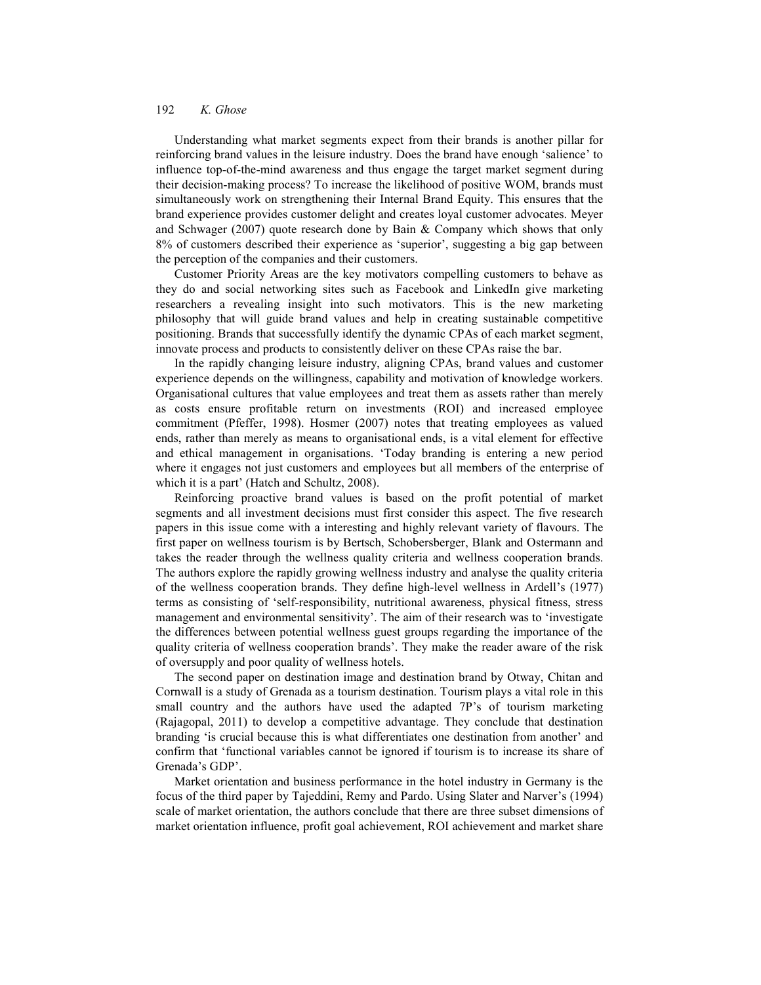### 192 *K. Ghose*

Understanding what market segments expect from their brands is another pillar for reinforcing brand values in the leisure industry. Does the brand have enough 'salience' to influence top-of-the-mind awareness and thus engage the target market segment during their decision-making process? To increase the likelihood of positive WOM, brands must simultaneously work on strengthening their Internal Brand Equity. This ensures that the brand experience provides customer delight and creates loyal customer advocates. Meyer and Schwager (2007) quote research done by Bain & Company which shows that only 8% of customers described their experience as 'superior', suggesting a big gap between the perception of the companies and their customers.

Customer Priority Areas are the key motivators compelling customers to behave as they do and social networking sites such as Facebook and LinkedIn give marketing researchers a revealing insight into such motivators. This is the new marketing philosophy that will guide brand values and help in creating sustainable competitive positioning. Brands that successfully identify the dynamic CPAs of each market segment, innovate process and products to consistently deliver on these CPAs raise the bar.

In the rapidly changing leisure industry, aligning CPAs, brand values and customer experience depends on the willingness, capability and motivation of knowledge workers. Organisational cultures that value employees and treat them as assets rather than merely as costs ensure profitable return on investments (ROI) and increased employee commitment (Pfeffer, 1998). Hosmer (2007) notes that treating employees as valued ends, rather than merely as means to organisational ends, is a vital element for effective and ethical management in organisations. 'Today branding is entering a new period where it engages not just customers and employees but all members of the enterprise of which it is a part' (Hatch and Schultz, 2008).

Reinforcing proactive brand values is based on the profit potential of market segments and all investment decisions must first consider this aspect. The five research papers in this issue come with a interesting and highly relevant variety of flavours. The first paper on wellness tourism is by Bertsch, Schobersberger, Blank and Ostermann and takes the reader through the wellness quality criteria and wellness cooperation brands. The authors explore the rapidly growing wellness industry and analyse the quality criteria of the wellness cooperation brands. They define high-level wellness in Ardell's (1977) terms as consisting of 'self-responsibility, nutritional awareness, physical fitness, stress management and environmental sensitivity'. The aim of their research was to 'investigate the differences between potential wellness guest groups regarding the importance of the quality criteria of wellness cooperation brands'. They make the reader aware of the risk of oversupply and poor quality of wellness hotels.

The second paper on destination image and destination brand by Otway, Chitan and Cornwall is a study of Grenada as a tourism destination. Tourism plays a vital role in this small country and the authors have used the adapted 7P's of tourism marketing (Rajagopal, 2011) to develop a competitive advantage. They conclude that destination branding 'is crucial because this is what differentiates one destination from another' and confirm that 'functional variables cannot be ignored if tourism is to increase its share of Grenada's GDP'.

Market orientation and business performance in the hotel industry in Germany is the focus of the third paper by Tajeddini, Remy and Pardo. Using Slater and Narver's (1994) scale of market orientation, the authors conclude that there are three subset dimensions of market orientation influence, profit goal achievement, ROI achievement and market share